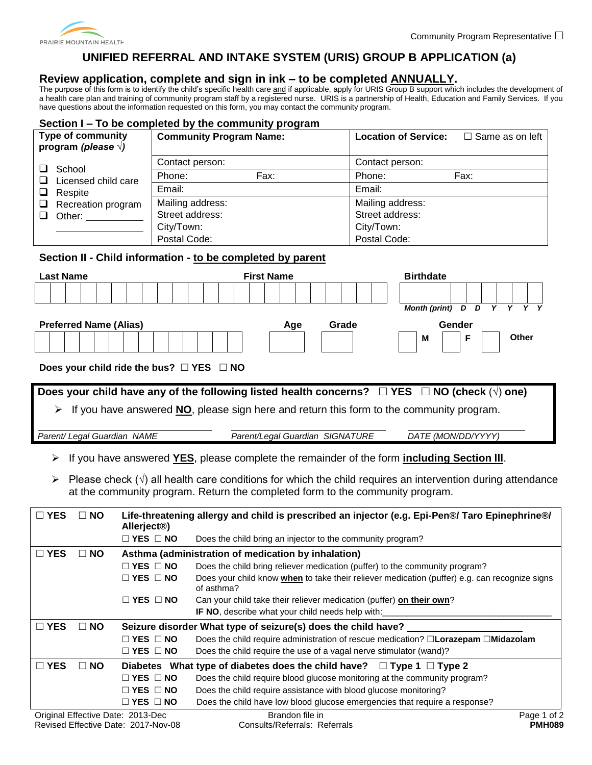

# **UNIFIED REFERRAL AND INTAKE SYSTEM (URIS) GROUP B APPLICATION (a)**

## **Review application, complete and sign in ink – to be completed ANNUALLY.**

The purpose of this form is to identify the child's specific health care and if applicable, apply for URIS Group B support which includes the development of a health care plan and training of community program staff by a registered nurse. URIS is a partnership of Health, Education and Family Services. If you have questions about the information requested on this form, you may contact the community program.

#### **Section I – To be completed by the community program**

|   | <b>Type of community</b><br>program (please $\sqrt{ }$ ) | <b>Community Program Name:</b> |      | <b>Location of Service:</b> | $\Box$ Same as on left |
|---|----------------------------------------------------------|--------------------------------|------|-----------------------------|------------------------|
|   | School                                                   | Contact person:                |      | Contact person:             |                        |
|   | Licensed child care                                      | Phone:                         | Fax: | Phone:                      | Fax:                   |
| ப | Respite                                                  | Email:                         |      | Email:                      |                        |
| □ | Recreation program                                       | Mailing address:               |      | Mailing address:            |                        |
|   | Other:                                                   | Street address:                |      | Street address:             |                        |
|   |                                                          | City/Town:                     |      | City/Town:                  |                        |
|   |                                                          | Postal Code:                   |      | Postal Code:                |                        |

### **Section II - Child information** *-* **to be completed by parent**

| <b>Last Name</b>                         |                          | <b>First Name</b>                                                                                                  | <b>Birthdate</b>                    |
|------------------------------------------|--------------------------|--------------------------------------------------------------------------------------------------------------------|-------------------------------------|
|                                          |                          |                                                                                                                    |                                     |
|                                          |                          |                                                                                                                    | Month (print) D D<br>$\overline{Y}$ |
| <b>Preferred Name (Alias)</b>            |                          | Grade<br>Age                                                                                                       | Gender                              |
|                                          |                          |                                                                                                                    | <b>Other</b><br>F<br>M              |
|                                          |                          |                                                                                                                    |                                     |
| Does your child ride the bus? □ YES □ NO |                          |                                                                                                                    |                                     |
|                                          |                          |                                                                                                                    |                                     |
|                                          |                          | Does your child have any of the following listed health concerns? $\Box$ YES $\Box$ NO (check $(\sqrt{ } )$ one)   |                                     |
| ➤                                        |                          | If you have answered NO, please sign here and return this form to the community program.                           |                                     |
|                                          |                          |                                                                                                                    |                                     |
| Parent/ Legal Guardian NAME              |                          | Parent/Legal Guardian SIGNATURE                                                                                    | DATE (MON/DD/YYYY)                  |
|                                          |                          |                                                                                                                    |                                     |
| ➤                                        |                          | If you have answered YES, please complete the remainder of the form <i>including Section III</i> .                 |                                     |
| ➤                                        |                          | Please check $(\sqrt{)}$ all health care conditions for which the child requires an intervention during attendance |                                     |
|                                          |                          | at the community program. Return the completed form to the community program.                                      |                                     |
|                                          |                          |                                                                                                                    |                                     |
| $\square$ YES<br>$\Box$ NO               |                          | Life-threatening allergy and child is prescribed an injector (e.g. Epi-Pen®/ Taro Epinephrine®/                    |                                     |
|                                          | Allerject <sup>®</sup> ) |                                                                                                                    |                                     |
|                                          | $\Box$ YES $\Box$ NO     | Does the child bring an injector to the community program?                                                         |                                     |
| $\square$ YES<br>$\Box$ NO               |                          | Asthma (administration of medication by inhalation)                                                                |                                     |
|                                          | $\Box$ YES $\Box$ NO     | Does the child bring reliever medication (puffer) to the community program?                                        |                                     |
|                                          | $\Box$ YES $\Box$ NO     | Does your child know when to take their reliever medication (puffer) e.g. can recognize signs<br>of asthma?        |                                     |
|                                          | $\Box$ YES $\Box$ NO     | Can your child take their reliever medication (puffer) on their own?                                               |                                     |
|                                          |                          | IF NO, describe what your child needs help with:                                                                   |                                     |
| $\square$ YES<br>$\Box$ NO               |                          | Seizure disorder What type of seizure(s) does the child have?                                                      |                                     |
|                                          | $\Box$ YES $\Box$ NO     | Does the child require administration of rescue medication? □Lorazepam □Midazolam                                  |                                     |
|                                          | $\Box$ YES $\Box$ NO     | Does the child require the use of a vagal nerve stimulator (wand)?                                                 |                                     |
| $\square$ YES<br>$\Box$ NO               |                          | Diabetes What type of diabetes does the child have? $\Box$ Type 1 $\Box$ Type 2                                    |                                     |
|                                          | $\Box$ YES $\Box$ NO     | Does the child require blood glucose monitoring at the community program?                                          |                                     |
|                                          | $\Box$ YES $\Box$ NO     | Does the child require assistance with blood glucose monitoring?                                                   |                                     |
|                                          | $\Box$ YES $\Box$ NO     | Does the child have low blood glucose emergencies that require a response?                                         |                                     |
| Original Effective Date: 2013-Dec        |                          | Brandon file in                                                                                                    | Page 1 of 2                         |
| Revised Effective Date: 2017-Nov-08      |                          | Consults/Referrals: Referrals                                                                                      | <b>PMH089</b>                       |